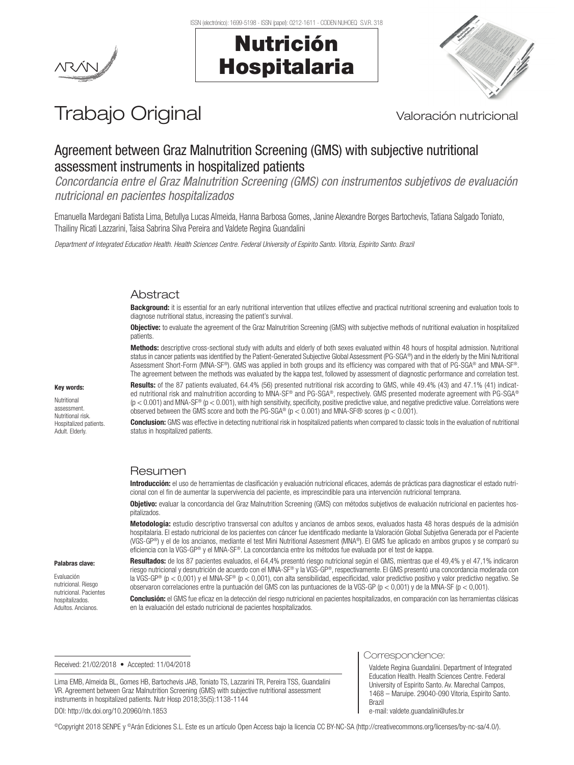





# Trabajo Original Valoración nutricional

## Agreement between Graz Malnutrition Screening (GMS) with subjective nutritional assessment instruments in hospitalized patients

*Concordancia entre el Graz Malnutrition Screening (GMS) con instrumentos subjetivos de evaluación nutricional en pacientes hospitalizados*

Emanuella Mardegani Batista Lima, Betullya Lucas Almeida, Hanna Barbosa Gomes, Janine Alexandre Borges Bartochevis, Tatiana Salgado Toniato, Thailiny Ricati Lazzarini, Taisa Sabrina Silva Pereira and Valdete Regina Guandalini

*Department of Integrated Education Health. Health Sciences Centre. Federal University of Espirito Santo. Vitoria, Espirito Santo. Brazil* 

## **Abstract**

**Background:** it is essential for an early nutritional intervention that utilizes effective and practical nutritional screening and evaluation tools to diagnose nutritional status, increasing the patient's survival.

**Objective:** to evaluate the agreement of the Graz Malnutrition Screening (GMS) with subjective methods of nutritional evaluation in hospitalized patients.

Methods: descriptive cross-sectional study with adults and elderly of both sexes evaluated within 48 hours of hospital admission. Nutritional status in cancer patients was identified by the Patient-Generated Subjective Global Assessment (PG-SGA®) and in the elderly by the Mini Nutritional Assessment Short-Form (MNA-SF®). GMS was applied in both groups and its efficiency was compared with that of PG-SGA® and MNA-SF®. The agreement between the methods was evaluated by the kappa test, followed by assessment of diagnostic performance and correlation test.

#### Key words:

Nutritional assessment. Nutritional risk. Hospitalized patients. Adult. Elderly.

Results: of the 87 patients evaluated, 64.4% (56) presented nutritional risk according to GMS, while 49.4% (43) and 47.1% (41) indicated nutritional risk and malnutrition according to MNA-SF® and PG-SGA®, respectively. GMS presented moderate agreement with PG-SGA®  $(p < 0.001)$  and MNA-SF®  $(p < 0.001)$ , with high sensitivity, specificity, positive predictive value, and negative predictive value. Correlations were observed between the GMS score and both the PG-SGA®  $(p < 0.001)$  and MNA-SF® scores  $(p < 0.001)$ .

**Conclusion:** GMS was effective in detecting nutritional risk in hospitalized patients when compared to classic tools in the evaluation of nutritional status in hospitalized patients.

#### Resumen

Introducción: el uso de herramientas de clasificación y evaluación nutricional eficaces, además de prácticas para diagnosticar el estado nutricional con el fin de aumentar la supervivencia del paciente, es imprescindible para una intervención nutricional temprana.

Objetivo: evaluar la concordancia del Graz Malnutrition Screening (GMS) con métodos subjetivos de evaluación nutricional en pacientes hospitalizados.

Metodología: estudio descriptivo transversal con adultos y ancianos de ambos sexos, evaluados hasta 48 horas después de la admisión hospitalaria. El estado nutricional de los pacientes con cáncer fue identificado mediante la Valoración Global Subjetiva Generada por el Paciente (VGS-GP®) y el de los ancianos, mediante el test Mini Nutritional Assesment (MNA®). El GMS fue aplicado en ambos grupos y se comparó su eficiencia con la VGS-GP® y el MNA-SF®. La concordancia entre los métodos fue evaluada por el test de kappa.

#### Palabras clave:

Evaluación nutricional. Riesgo nutricional. Pacientes hospitalizados. Adultos. Ancianos.

Resultados: de los 87 pacientes evaluados, el 64,4% presentó riesgo nutricional según el GMS, mientras que el 49,4% y el 47,1% indicaron riesgo nutricional y desnutrición de acuerdo con el MNA-SF® y la VGS-GP®, respectivamente. El GMS presentó una concordancia moderada con la VGS-GP® (p < 0,001) y el MNA-SF® (p < 0,001), con alta sensibilidad, especificidad, valor predictivo positivo y valor predictivo negativo. Se observaron correlaciones entre la puntuación del GMS con las puntuaciones de la VGS-GP (p < 0,001) y de la MNA-SF (p < 0,001).

Conclusión: el GMS fue eficaz en la detección del riesgo nutricional en pacientes hospitalizados, en comparación con las herramientas clásicas en la evaluación del estado nutricional de pacientes hospitalizados.

#### Received: 21/02/2018 • Accepted: 11/04/2018

Lima EMB, Almeida BL, Gomes HB, Bartochevis JAB, Toniato TS, Lazzarini TR, Pereira TSS, Guandalini VR. Agreement between Graz Malnutrition Screening (GMS) with subjective nutritional assessment instruments in hospitalized patients. Nutr Hosp 2018;35(5):1138-1144 DOI: http://dx.doi.org/10.20960/nh.1853

Correspondence:

Valdete Regina Guandalini. Department of Integrated Education Health. Health Sciences Centre. Federal University of Espirito Santo. Av. Marechal Campos, 1468 – Maruipe. 29040-090 Vitoria, Espirito Santo. Brazil e-mail: valdete.guandalini@ufes.br

©Copyright 2018 SENPE y ©Arán Ediciones S.L. Este es un artículo Open Access bajo la licencia CC BY-NC-SA (http://creativecommons.org/licenses/by-nc-sa/4.0/).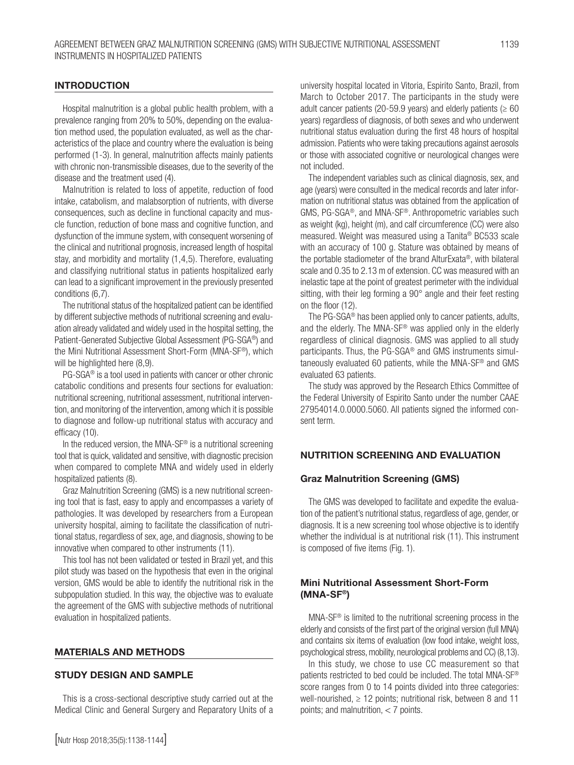## INTRODUCTION

Hospital malnutrition is a global public health problem, with a prevalence ranging from 20% to 50%, depending on the evaluation method used, the population evaluated, as well as the characteristics of the place and country where the evaluation is being performed (1-3). In general, malnutrition affects mainly patients with chronic non-transmissible diseases, due to the severity of the disease and the treatment used (4).

Malnutrition is related to loss of appetite, reduction of food intake, catabolism, and malabsorption of nutrients, with diverse consequences, such as decline in functional capacity and muscle function, reduction of bone mass and cognitive function, and dysfunction of the immune system, with consequent worsening of the clinical and nutritional prognosis, increased length of hospital stay, and morbidity and mortality (1,4,5). Therefore, evaluating and classifying nutritional status in patients hospitalized early can lead to a significant improvement in the previously presented conditions (6,7).

The nutritional status of the hospitalized patient can be identified by different subjective methods of nutritional screening and evaluation already validated and widely used in the hospital setting, the Patient-Generated Subjective Global Assessment (PG-SGA®) and the Mini Nutritional Assessment Short-Form (MNA-SF®), which will be highlighted here  $(8,9)$ .

PG-SGA® is a tool used in patients with cancer or other chronic catabolic conditions and presents four sections for evaluation: nutritional screening, nutritional assessment, nutritional intervention, and monitoring of the intervention, among which it is possible to diagnose and follow-up nutritional status with accuracy and efficacy (10).

In the reduced version, the MNA-SF® is a nutritional screening tool that is quick, validated and sensitive, with diagnostic precision when compared to complete MNA and widely used in elderly hospitalized patients (8).

Graz Malnutrition Screening (GMS) is a new nutritional screening tool that is fast, easy to apply and encompasses a variety of pathologies. It was developed by researchers from a European university hospital, aiming to facilitate the classification of nutritional status, regardless of sex, age, and diagnosis, showing to be innovative when compared to other instruments (11).

This tool has not been validated or tested in Brazil yet, and this pilot study was based on the hypothesis that even in the original version, GMS would be able to identify the nutritional risk in the subpopulation studied. In this way, the objective was to evaluate the agreement of the GMS with subjective methods of nutritional evaluation in hospitalized patients.

#### MATERIALS AND METHODS

## STUDY DESIGN AND SAMPLE

This is a cross-sectional descriptive study carried out at the Medical Clinic and General Surgery and Reparatory Units of a university hospital located in Vitoria, Espirito Santo, Brazil, from March to October 2017. The participants in the study were adult cancer patients (20-59.9 years) and elderly patients ( $\geq 60$ years) regardless of diagnosis, of both sexes and who underwent nutritional status evaluation during the first 48 hours of hospital admission. Patients who were taking precautions against aerosols or those with associated cognitive or neurological changes were not included.

The independent variables such as clinical diagnosis, sex, and age (years) were consulted in the medical records and later information on nutritional status was obtained from the application of GMS, PG-SGA®, and MNA-SF®. Anthropometric variables such as weight (kg), height (m), and calf circumference (CC) were also measured. Weight was measured using a Tanita® BC533 scale with an accuracy of 100 g. Stature was obtained by means of the portable stadiometer of the brand AlturExata®, with bilateral scale and 0.35 to 2.13 m of extension. CC was measured with an inelastic tape at the point of greatest perimeter with the individual sitting, with their leg forming a 90° angle and their feet resting on the floor (12).

The PG-SGA® has been applied only to cancer patients, adults, and the elderly. The MNA-SF® was applied only in the elderly regardless of clinical diagnosis. GMS was applied to all study participants. Thus, the PG-SGA® and GMS instruments simultaneously evaluated 60 patients, while the MNA-SF® and GMS evaluated 63 patients.

The study was approved by the Research Ethics Committee of the Federal University of Espirito Santo under the number CAAE 27954014.0.0000.5060. All patients signed the informed consent term.

## NUTRITION SCREENING AND EVALUATION

#### Graz Malnutrition Screening (GMS)

The GMS was developed to facilitate and expedite the evaluation of the patient's nutritional status, regardless of age, gender, or diagnosis. It is a new screening tool whose objective is to identify whether the individual is at nutritional risk (11). This instrument is composed of five items (Fig. 1).

## Mini Nutritional Assessment Short-Form (MNA-SF®)

MNA-SF® is limited to the nutritional screening process in the elderly and consists of the first part of the original version (full MNA) and contains six items of evaluation (low food intake, weight loss, psychological stress, mobility, neurological problems and CC) (8,13).

In this study, we chose to use CC measurement so that patients restricted to bed could be included. The total MNA-SF® score ranges from 0 to 14 points divided into three categories: well-nourished,  $\geq 12$  points; nutritional risk, between 8 and 11 points; and malnutrition, < 7 points.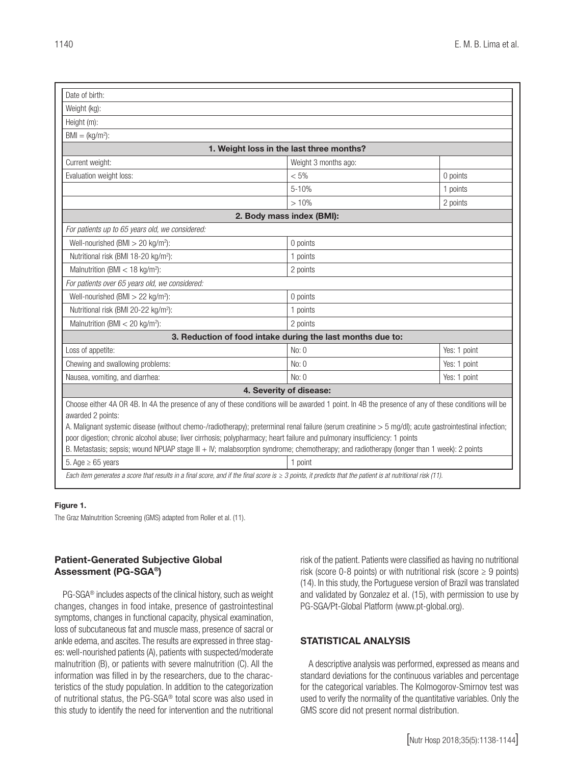| Date of birth:                                                                                                                                                                                                                                                                                                                                                                                                                                                                                                                                                                                               |                                                            |              |  |  |  |
|--------------------------------------------------------------------------------------------------------------------------------------------------------------------------------------------------------------------------------------------------------------------------------------------------------------------------------------------------------------------------------------------------------------------------------------------------------------------------------------------------------------------------------------------------------------------------------------------------------------|------------------------------------------------------------|--------------|--|--|--|
| Weight (kg):                                                                                                                                                                                                                                                                                                                                                                                                                                                                                                                                                                                                 |                                                            |              |  |  |  |
| Height (m):                                                                                                                                                                                                                                                                                                                                                                                                                                                                                                                                                                                                  |                                                            |              |  |  |  |
| $BMI = (kg/m2):$                                                                                                                                                                                                                                                                                                                                                                                                                                                                                                                                                                                             |                                                            |              |  |  |  |
| 1. Weight loss in the last three months?                                                                                                                                                                                                                                                                                                                                                                                                                                                                                                                                                                     |                                                            |              |  |  |  |
| Current weight:                                                                                                                                                                                                                                                                                                                                                                                                                                                                                                                                                                                              | Weight 3 months ago:                                       |              |  |  |  |
| Evaluation weight loss:                                                                                                                                                                                                                                                                                                                                                                                                                                                                                                                                                                                      | $< 5\%$                                                    | 0 points     |  |  |  |
|                                                                                                                                                                                                                                                                                                                                                                                                                                                                                                                                                                                                              | $5 - 10%$                                                  | 1 points     |  |  |  |
|                                                                                                                                                                                                                                                                                                                                                                                                                                                                                                                                                                                                              | >10%                                                       | 2 points     |  |  |  |
|                                                                                                                                                                                                                                                                                                                                                                                                                                                                                                                                                                                                              | 2. Body mass index (BMI):                                  |              |  |  |  |
| For patients up to 65 years old, we considered:                                                                                                                                                                                                                                                                                                                                                                                                                                                                                                                                                              |                                                            |              |  |  |  |
| Well-nourished (BMI $>$ 20 kg/m <sup>2</sup> ):                                                                                                                                                                                                                                                                                                                                                                                                                                                                                                                                                              | 0 points                                                   |              |  |  |  |
| Nutritional risk (BMI 18-20 kg/m <sup>2</sup> ):                                                                                                                                                                                                                                                                                                                                                                                                                                                                                                                                                             | 1 points                                                   |              |  |  |  |
| Malnutrition (BMI $<$ 18 kg/m <sup>2</sup> ):                                                                                                                                                                                                                                                                                                                                                                                                                                                                                                                                                                | 2 points                                                   |              |  |  |  |
| For patients over 65 years old, we considered:                                                                                                                                                                                                                                                                                                                                                                                                                                                                                                                                                               |                                                            |              |  |  |  |
| Well-nourished (BMI $>$ 22 kg/m <sup>2</sup> ):                                                                                                                                                                                                                                                                                                                                                                                                                                                                                                                                                              | 0 points                                                   |              |  |  |  |
| Nutritional risk (BMI 20-22 kg/m <sup>2</sup> ):                                                                                                                                                                                                                                                                                                                                                                                                                                                                                                                                                             | 1 points                                                   |              |  |  |  |
| Malnutrition (BMI $<$ 20 kg/m <sup>2</sup> ):                                                                                                                                                                                                                                                                                                                                                                                                                                                                                                                                                                | 2 points                                                   |              |  |  |  |
|                                                                                                                                                                                                                                                                                                                                                                                                                                                                                                                                                                                                              | 3. Reduction of food intake during the last months due to: |              |  |  |  |
| Loss of appetite:                                                                                                                                                                                                                                                                                                                                                                                                                                                                                                                                                                                            | No: 0                                                      | Yes: 1 point |  |  |  |
| Chewing and swallowing problems:                                                                                                                                                                                                                                                                                                                                                                                                                                                                                                                                                                             | No: 0                                                      | Yes: 1 point |  |  |  |
| Nausea, vomiting, and diarrhea:                                                                                                                                                                                                                                                                                                                                                                                                                                                                                                                                                                              | No: 0                                                      | Yes: 1 point |  |  |  |
|                                                                                                                                                                                                                                                                                                                                                                                                                                                                                                                                                                                                              | 4. Severity of disease:                                    |              |  |  |  |
| Choose either 4A OR 4B. In 4A the presence of any of these conditions will be awarded 1 point. In 4B the presence of any of these conditions will be<br>awarded 2 points:<br>A. Malignant systemic disease (without chemo-/radiotherapy); preterminal renal failure (serum creatinine > 5 mg/dl); acute gastrointestinal infection;<br>poor digestion; chronic alcohol abuse; liver cirrhosis; polypharmacy; heart failure and pulmonary insufficiency: 1 points<br>B. Metastasis; sepsis; wound NPUAP stage III + IV; malabsorption syndrome; chemotherapy; and radiotherapy (longer than 1 week): 2 points |                                                            |              |  |  |  |
| 5. Age $\geq 65$ years                                                                                                                                                                                                                                                                                                                                                                                                                                                                                                                                                                                       | 1 point                                                    |              |  |  |  |
| Each item generates a score that results in a final score, and if the final score is $\geq 3$ points, it predicts that the patient is at nutritional risk (11).                                                                                                                                                                                                                                                                                                                                                                                                                                              |                                                            |              |  |  |  |

#### Figure 1.

The Graz Malnutrition Screening (GMS) adapted from Roller et al. (11).

## Patient-Generated Subjective Global Assessment (PG-SGA®)

PG-SGA® includes aspects of the clinical history, such as weight changes, changes in food intake, presence of gastrointestinal symptoms, changes in functional capacity, physical examination, loss of subcutaneous fat and muscle mass, presence of sacral or ankle edema, and ascites. The results are expressed in three stages: well-nourished patients (A), patients with suspected/moderate malnutrition (B), or patients with severe malnutrition (C). All the information was filled in by the researchers, due to the characteristics of the study population. In addition to the categorization of nutritional status, the PG-SGA® total score was also used in this study to identify the need for intervention and the nutritional risk of the patient. Patients were classified as having no nutritional risk (score 0-8 points) or with nutritional risk (score  $\geq 9$  points) (14). In this study, the Portuguese version of Brazil was translated and validated by Gonzalez et al. (15), with permission to use by PG-SGA/Pt-Global Platform (www.pt-global.org).

## STATISTICAL ANALYSIS

A descriptive analysis was performed, expressed as means and standard deviations for the continuous variables and percentage for the categorical variables. The Kolmogorov-Smirnov test was used to verify the normality of the quantitative variables. Only the GMS score did not present normal distribution.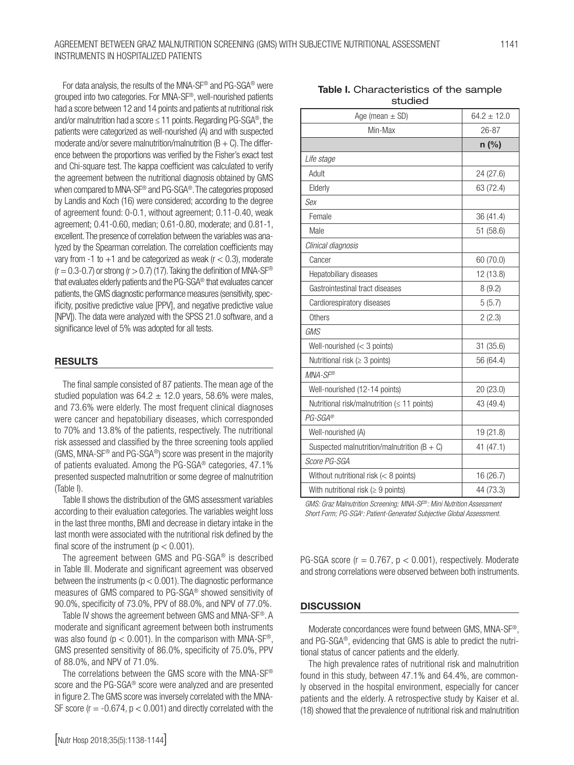## AGREEMENT BETWEEN GRAZ MALNUTRITION SCREENING (GMS) WITH SUBJECTIVE NUTRITIONAL ASSESSMENT INSTRUMENTS IN HOSPITALIZED PATIENTS

For data analysis, the results of the MNA-SF® and PG-SGA® were grouped into two categories. For MNA-SF®, well-nourished patients had a score between 12 and 14 points and patients at nutritional risk and/or malnutrition had a score  $\leq$  11 points. Regarding PG-SGA<sup>®</sup>, the patients were categorized as well-nourished (A) and with suspected moderate and/or severe malnutrition/malnutrition  $(B + C)$ . The difference between the proportions was verified by the Fisher's exact test and Chi-square test. The kappa coefficient was calculated to verify the agreement between the nutritional diagnosis obtained by GMS when compared to MNA-SF® and PG-SGA®. The categories proposed by Landis and Koch (16) were considered; according to the degree of agreement found: 0-0.1, without agreement; 0.11-0.40, weak agreement; 0.41-0.60, median; 0.61-0.80, moderate; and 0.81-1, excellent. The presence of correlation between the variables was analyzed by the Spearman correlation. The correlation coefficients may vary from -1 to  $+1$  and be categorized as weak ( $r < 0.3$ ), moderate  $(r = 0.3 - 0.7)$  or strong  $(r > 0.7)$  (17). Taking the definition of MNA-SF® that evaluates elderly patients and the PG-SGA® that evaluates cancer patients, the GMS diagnostic performance measures (sensitivity, specificity, positive predictive value [PPV], and negative predictive value [NPV]). The data were analyzed with the SPSS 21.0 software, and a significance level of 5% was adopted for all tests.

## RESULTS

The final sample consisted of 87 patients. The mean age of the studied population was  $64.2 \pm 12.0$  years, 58.6% were males, and 73.6% were elderly. The most frequent clinical diagnoses were cancer and hepatobiliary diseases, which corresponded to 70% and 13.8% of the patients, respectively. The nutritional risk assessed and classified by the three screening tools applied (GMS, MNA-SF® and PG-SGA®) score was present in the majority of patients evaluated. Among the PG-SGA® categories, 47.1% presented suspected malnutrition or some degree of malnutrition (Table I).

Table II shows the distribution of the GMS assessment variables according to their evaluation categories. The variables weight loss in the last three months, BMI and decrease in dietary intake in the last month were associated with the nutritional risk defined by the final score of the instrument ( $p < 0.001$ ).

The agreement between GMS and PG-SGA® is described in Table III. Moderate and significant agreement was observed between the instruments ( $p < 0.001$ ). The diagnostic performance measures of GMS compared to PG-SGA® showed sensitivity of 90.0%, specificity of 73.0%, PPV of 88.0%, and NPV of 77.0%.

Table IV shows the agreement between GMS and MNA-SF®. A moderate and significant agreement between both instruments was also found ( $p < 0.001$ ). In the comparison with MNA-SF®, GMS presented sensitivity of 86.0%, specificity of 75.0%, PPV of 88.0%, and NPV of 71.0%.

The correlations between the GMS score with the MNA-SF® score and the PG-SGA® score were analyzed and are presented in figure 2. The GMS score was inversely correlated with the MNA-SF score ( $r = -0.674$ ,  $p < 0.001$ ) and directly correlated with the

| Table I. Characteristics of the sample |
|----------------------------------------|
| studied                                |

| Age (mean $\pm$ SD)                             | $64.2 \pm 12.0$ |  |
|-------------------------------------------------|-----------------|--|
| Min-Max                                         | $26 - 87$       |  |
|                                                 | $n$ (%)         |  |
| Life stage                                      |                 |  |
| Adult                                           | 24 (27.6)       |  |
| Elderly                                         | 63 (72.4)       |  |
| Sex                                             |                 |  |
| Female                                          | 36 (41.4)       |  |
| Male                                            | 51(58.6)        |  |
| Clinical diagnosis                              |                 |  |
| Cancer                                          | 60 (70.0)       |  |
| Hepatobiliary diseases                          | 12 (13.8)       |  |
| Gastrointestinal tract diseases                 | 8(9.2)          |  |
| Cardiorespiratory diseases                      | 5(5.7)          |  |
| Others                                          | 2(2.3)          |  |
| GMS                                             |                 |  |
| Well-nourished $(< 3$ points)                   | 31(35.6)        |  |
| Nutritional risk ( $\geq$ 3 points)             | 56 (64.4)       |  |
| MNA-SF®                                         |                 |  |
| Well-nourished (12-14 points)                   | 20 (23.0)       |  |
| Nutritional risk/malnutrition (≤ 11 points)     | 43 (49.4)       |  |
| PG-SGA®                                         |                 |  |
| Well-nourished (A)                              | 19 (21.8)       |  |
| Suspected malnutrition/malnutrition ( $B + C$ ) | 41 (47.1)       |  |
| Score PG-SGA                                    |                 |  |
| Without nutritional risk $(< 8$ points)         | 16 (26.7)       |  |
| With nutritional risk ( $\geq 9$ points)        | 44 (73.3)       |  |

*GMS: Graz Malnutrition Screening; MNA-SF®: Mini Nutrition Assessment Short Form; PG-SGAs : Patient-Generated Subjective Global Assessment.*

PG-SGA score ( $r = 0.767$ ,  $p < 0.001$ ), respectively. Moderate and strong correlations were observed between both instruments.

#### **DISCUSSION**

Moderate concordances were found between GMS, MNA-SF®, and PG-SGA®, evidencing that GMS is able to predict the nutritional status of cancer patients and the elderly.

The high prevalence rates of nutritional risk and malnutrition found in this study, between 47.1% and 64.4%, are commonly observed in the hospital environment, especially for cancer patients and the elderly. A retrospective study by Kaiser et al. (18) showed that the prevalence of nutritional risk and malnutrition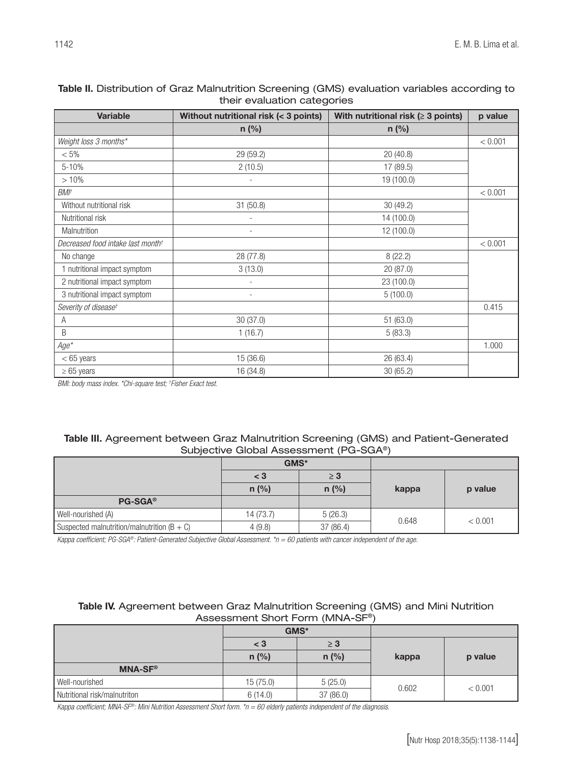| <b>Variable</b>                               | Without nutritional risk (< 3 points) | With nutritional risk ( $\geq$ 3 points) | p value |
|-----------------------------------------------|---------------------------------------|------------------------------------------|---------|
|                                               | $n$ (%)                               | $n$ (%)                                  |         |
| Weight loss 3 months*                         |                                       |                                          | < 0.001 |
| $< 5\%$                                       | 29 (59.2)                             | 20 (40.8)                                |         |
| 5-10%                                         | 2(10.5)                               | 17 (89.5)                                |         |
| >10%                                          |                                       | 19 (100.0)                               |         |
| BMI†                                          |                                       |                                          | < 0.001 |
| Without nutritional risk                      | 31 (50.8)                             | 30 (49.2)                                |         |
| Nutritional risk                              |                                       | 14 (100.0)                               |         |
| Malnutrition                                  | $\overline{\phantom{a}}$              | 12 (100.0)                               |         |
| Decreased food intake last month <sup>+</sup> |                                       |                                          | < 0.001 |
| No change                                     | 28 (77.8)                             | 8(22.2)                                  |         |
| 1 nutritional impact symptom                  | 3(13.0)                               | 20 (87.0)                                |         |
| 2 nutritional impact symptom                  |                                       | 23 (100.0)                               |         |
| 3 nutritional impact symptom                  | $\overline{\phantom{a}}$              | 5(100.0)                                 |         |
| Severity of disease <sup>+</sup>              |                                       |                                          | 0.415   |
| Α                                             | 30(37.0)                              | 51 (63.0)                                |         |
| B                                             | 1(16.7)                               | 5(83.3)                                  |         |
| $Age*$                                        |                                       |                                          | 1.000   |
| $< 65$ years                                  | 15 (36.6)                             | 26 (63.4)                                |         |
| $\geq 65$ years                               | 16 (34.8)                             | 30(65.2)                                 |         |

## Table II. Distribution of Graz Malnutrition Screening (GMS) evaluation variables according to their evaluation categories

*BMI: body mass index. \*Chi-square test; † Fisher Exact test.* 

## Table III. Agreement between Graz Malnutrition Screening (GMS) and Patient-Generated Subjective Global Assessment (PG-SGA®)

|                                                 | GMS*      |           |       |         |
|-------------------------------------------------|-----------|-----------|-------|---------|
|                                                 | < 3       | $\geq 3$  |       |         |
|                                                 | $n$ (%)   | $n$ (%)   | kappa | p value |
| <b>PG-SGA®</b>                                  |           |           |       |         |
| Well-nourished (A)                              | 14 (73.7) | 5(26.3)   | 0.648 | < 0.001 |
| Suspected malnutrition/malnutrition ( $B + C$ ) | 4(9.8)    | 37 (86.4) |       |         |

*Kappa coefficient; PG-SGA®: Patient-Generated Subjective Global Assessment. \*n = 60 patients with cancer independent of the age.*

## Table IV. Agreement between Graz Malnutrition Screening (GMS) and Mini Nutrition Assessment Short Form (MNA-SF®)

|                              | GMS*     |          |       |         |
|------------------------------|----------|----------|-------|---------|
|                              | $<$ 3    | $\geq 3$ | kappa | p value |
|                              | $n$ (%)  | $n$ (%)  |       |         |
| <b>MNA-SF®</b>               |          |          |       |         |
| Well-nourished               | 15(75.0) | 5(25.0)  | 0.602 | < 0.001 |
| Nutritional risk/malnutriton | 6(14.0)  | 37(86.0) |       |         |

*Kappa coefficient; MNA-SF®: Mini Nutrition Assessment Short form. \*n = 60 elderly patients independent of the diagnosis.*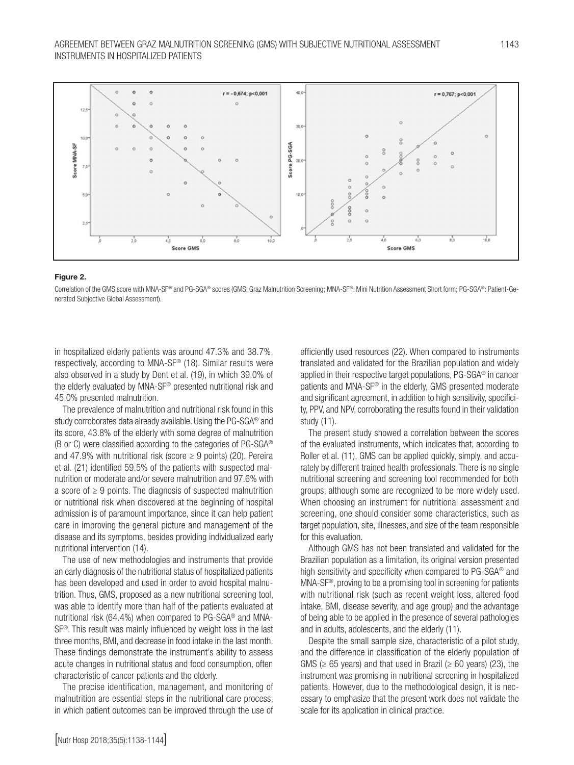

#### Figure 2.

Correlation of the GMS score with MNA-SF® and PG-SGA® scores (GMS: Graz Malnutrition Screening; MNA-SF®: Mini Nutrition Assessment Short form; PG-SGA®: Patient-Generated Subjective Global Assessment).

in hospitalized elderly patients was around 47.3% and 38.7%, respectively, according to MNA-SF® (18). Similar results were also observed in a study by Dent et al. (19), in which 39.0% of the elderly evaluated by MNA-SF® presented nutritional risk and 45.0% presented malnutrition.

The prevalence of malnutrition and nutritional risk found in this study corroborates data already available. Using the PG-SGA® and its score, 43.8% of the elderly with some degree of malnutrition (B or C) were classified according to the categories of PG-SGA® and 47.9% with nutritional risk (score  $\geq$  9 points) (20). Pereira et al. (21) identified 59.5% of the patients with suspected malnutrition or moderate and/or severe malnutrition and 97.6% with a score of  $\geq 9$  points. The diagnosis of suspected malnutrition or nutritional risk when discovered at the beginning of hospital admission is of paramount importance, since it can help patient care in improving the general picture and management of the disease and its symptoms, besides providing individualized early nutritional intervention (14).

The use of new methodologies and instruments that provide an early diagnosis of the nutritional status of hospitalized patients has been developed and used in order to avoid hospital malnutrition. Thus, GMS, proposed as a new nutritional screening tool, was able to identify more than half of the patients evaluated at nutritional risk (64.4%) when compared to PG-SGA® and MNA-SF®. This result was mainly influenced by weight loss in the last three months, BMI, and decrease in food intake in the last month. These findings demonstrate the instrument's ability to assess acute changes in nutritional status and food consumption, often characteristic of cancer patients and the elderly.

The precise identification, management, and monitoring of malnutrition are essential steps in the nutritional care process, in which patient outcomes can be improved through the use of

efficiently used resources (22). When compared to instruments translated and validated for the Brazilian population and widely applied in their respective target populations, PG-SGA® in cancer patients and MNA-SF® in the elderly, GMS presented moderate and significant agreement, in addition to high sensitivity, specificity, PPV, and NPV, corroborating the results found in their validation study (11).

The present study showed a correlation between the scores of the evaluated instruments, which indicates that, according to Roller et al. (11), GMS can be applied quickly, simply, and accurately by different trained health professionals. There is no single nutritional screening and screening tool recommended for both groups, although some are recognized to be more widely used. When choosing an instrument for nutritional assessment and screening, one should consider some characteristics, such as target population, site, illnesses, and size of the team responsible for this evaluation.

Although GMS has not been translated and validated for the Brazilian population as a limitation, its original version presented high sensitivity and specificity when compared to PG-SGA® and MNA-SF®, proving to be a promising tool in screening for patients with nutritional risk (such as recent weight loss, altered food intake, BMI, disease severity, and age group) and the advantage of being able to be applied in the presence of several pathologies and in adults, adolescents, and the elderly (11).

Despite the small sample size, characteristic of a pilot study, and the difference in classification of the elderly population of GMS ( $\geq$  65 years) and that used in Brazil ( $\geq$  60 years) (23), the instrument was promising in nutritional screening in hospitalized patients. However, due to the methodological design, it is necessary to emphasize that the present work does not validate the scale for its application in clinical practice.